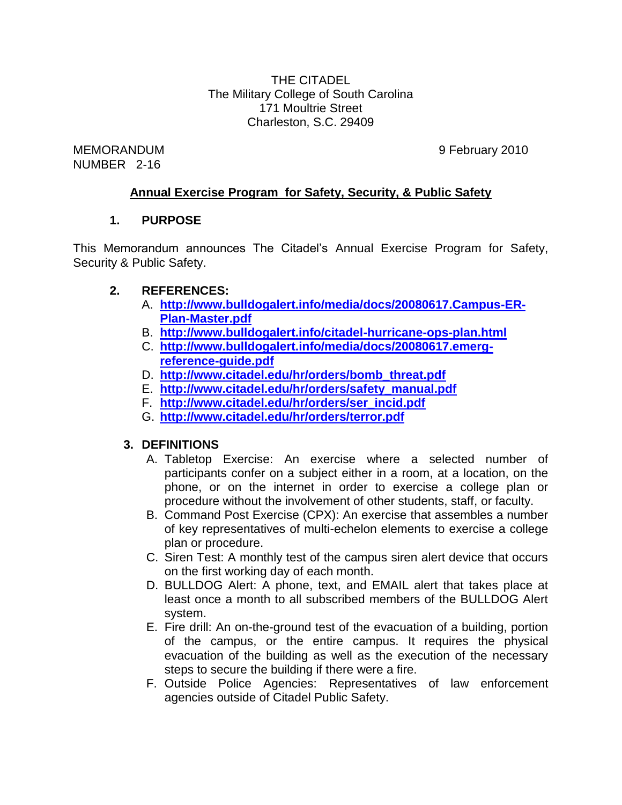THE CITADEL The Military College of South Carolina 171 Moultrie Street Charleston, S.C. 29409

MEMORANDUM 9 February 2010 NUMBER 2-16

### **Annual Exercise Program for Safety, Security, & Public Safety**

### **1. PURPOSE**

This Memorandum announces The Citadel's Annual Exercise Program for Safety, Security & Public Safety.

### **2. REFERENCES:**

- A. **[http://www.bulldogalert.info/media/docs/20080617.Campus-ER-](http://www.bulldogalert.info/media/docs/20080617.Campus-ER-Plan-Master.pdf)[Plan-Master.pdf](http://www.bulldogalert.info/media/docs/20080617.Campus-ER-Plan-Master.pdf)**
- B. **<http://www.bulldogalert.info/citadel-hurricane-ops-plan.html>**
- C. **[http://www.bulldogalert.info/media/docs/20080617.emerg](http://www.bulldogalert.info/media/docs/20080617.emerg-reference-guide.pdf)[reference-guide.pdf](http://www.bulldogalert.info/media/docs/20080617.emerg-reference-guide.pdf)**
- D. **[http://www.citadel.edu/hr/orders/bomb\\_threat.pdf](http://www.citadel.edu/hr/orders/bomb_threat.pdf)**
- E. **[http://www.citadel.edu/hr/orders/safety\\_manual.pdf](http://www.citadel.edu/hr/orders/safety_manual.pdf)**
- F. **[http://www.citadel.edu/hr/orders/ser\\_incid.pdf](http://www.citadel.edu/hr/orders/ser_incid.pdf)**
- G. **<http://www.citadel.edu/hr/orders/terror.pdf>**

### **3. DEFINITIONS**

- A. Tabletop Exercise: An exercise where a selected number of participants confer on a subject either in a room, at a location, on the phone, or on the internet in order to exercise a college plan or procedure without the involvement of other students, staff, or faculty.
- B. Command Post Exercise (CPX): An exercise that assembles a number of key representatives of multi-echelon elements to exercise a college plan or procedure.
- C. Siren Test: A monthly test of the campus siren alert device that occurs on the first working day of each month.
- D. BULLDOG Alert: A phone, text, and EMAIL alert that takes place at least once a month to all subscribed members of the BULLDOG Alert system.
- E. Fire drill: An on-the-ground test of the evacuation of a building, portion of the campus, or the entire campus. It requires the physical evacuation of the building as well as the execution of the necessary steps to secure the building if there were a fire.
- F. Outside Police Agencies: Representatives of law enforcement agencies outside of Citadel Public Safety.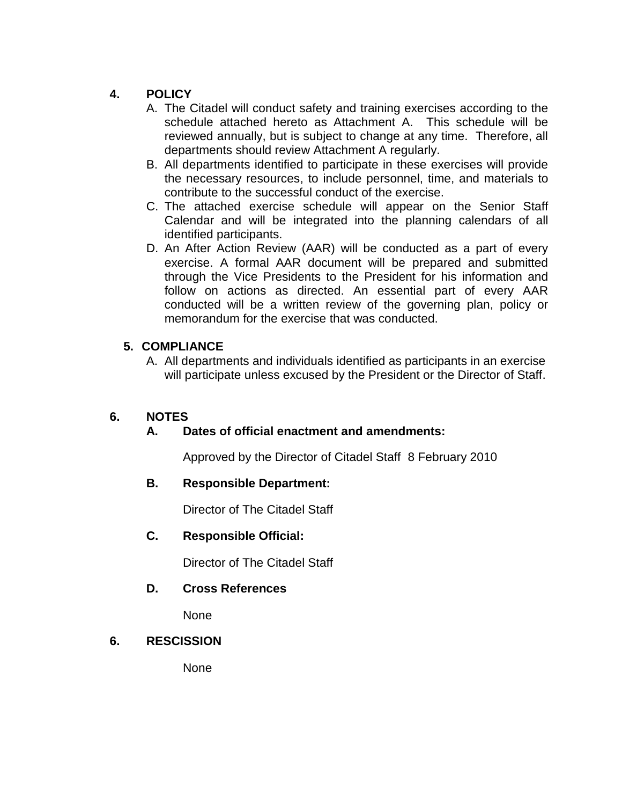## **4. POLICY**

- A. The Citadel will conduct safety and training exercises according to the schedule attached hereto as Attachment A. This schedule will be reviewed annually, but is subject to change at any time. Therefore, all departments should review Attachment A regularly.
- B. All departments identified to participate in these exercises will provide the necessary resources, to include personnel, time, and materials to contribute to the successful conduct of the exercise.
- C. The attached exercise schedule will appear on the Senior Staff Calendar and will be integrated into the planning calendars of all identified participants.
- D. An After Action Review (AAR) will be conducted as a part of every exercise. A formal AAR document will be prepared and submitted through the Vice Presidents to the President for his information and follow on actions as directed. An essential part of every AAR conducted will be a written review of the governing plan, policy or memorandum for the exercise that was conducted.

### **5. COMPLIANCE**

A. All departments and individuals identified as participants in an exercise will participate unless excused by the President or the Director of Staff.

# **6. NOTES**

### **A. Dates of official enactment and amendments:**

Approved by the Director of Citadel Staff 8 February 2010

### **B. Responsible Department:**

Director of The Citadel Staff

### **C. Responsible Official:**

Director of The Citadel Staff

### **D. Cross References**

None

### **6. RESCISSION**

None